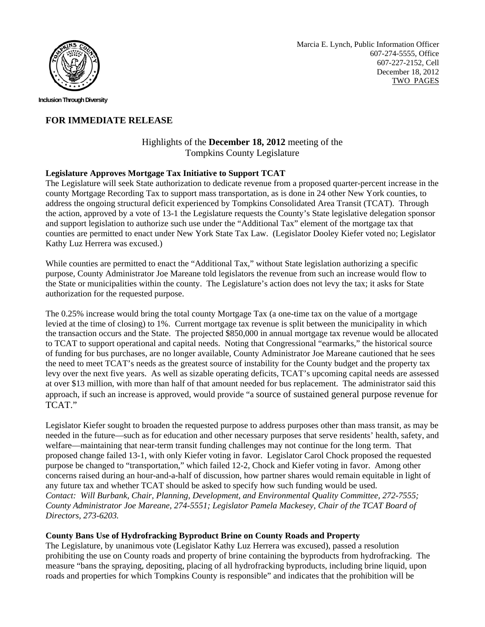

**Inclusion Through Diversity** 

# **FOR IMMEDIATE RELEASE**

## Highlights of the **December 18, 2012** meeting of the Tompkins County Legislature

#### **Legislature Approves Mortgage Tax Initiative to Support TCAT**

The Legislature will seek State authorization to dedicate revenue from a proposed quarter-percent increase in the county Mortgage Recording Tax to support mass transportation, as is done in 24 other New York counties, to address the ongoing structural deficit experienced by Tompkins Consolidated Area Transit (TCAT). Through the action, approved by a vote of 13-1 the Legislature requests the County's State legislative delegation sponsor and support legislation to authorize such use under the "Additional Tax" element of the mortgage tax that counties are permitted to enact under New York State Tax Law. (Legislator Dooley Kiefer voted no; Legislator Kathy Luz Herrera was excused.)

While counties are permitted to enact the "Additional Tax," without State legislation authorizing a specific purpose, County Administrator Joe Mareane told legislators the revenue from such an increase would flow to the State or municipalities within the county. The Legislature's action does not levy the tax; it asks for State authorization for the requested purpose.

The 0.25% increase would bring the total county Mortgage Tax (a one-time tax on the value of a mortgage levied at the time of closing) to 1%. Current mortgage tax revenue is split between the municipality in which the transaction occurs and the State. The projected \$850,000 in annual mortgage tax revenue would be allocated to TCAT to support operational and capital needs. Noting that Congressional "earmarks," the historical source of funding for bus purchases, are no longer available, County Administrator Joe Mareane cautioned that he sees the need to meet TCAT's needs as the greatest source of instability for the County budget and the property tax levy over the next five years. As well as sizable operating deficits, TCAT's upcoming capital needs are assessed at over \$13 million, with more than half of that amount needed for bus replacement. The administrator said this approach, if such an increase is approved, would provide "a source of sustained general purpose revenue for TCAT."

Legislator Kiefer sought to broaden the requested purpose to address purposes other than mass transit, as may be needed in the future—such as for education and other necessary purposes that serve residents' health, safety, and welfare—maintaining that near-term transit funding challenges may not continue for the long term. That proposed change failed 13-1, with only Kiefer voting in favor. Legislator Carol Chock proposed the requested purpose be changed to "transportation," which failed 12-2, Chock and Kiefer voting in favor. Among other concerns raised during an hour-and-a-half of discussion, how partner shares would remain equitable in light of any future tax and whether TCAT should be asked to specify how such funding would be used. *Contact: Will Burbank, Chair, Planning, Development, and Environmental Quality Committee, 272-7555; County Administrator Joe Mareane, 274-5551; Legislator Pamela Mackesey, Chair of the TCAT Board of Directors, 273-6203.* 

## **County Bans Use of Hydrofracking Byproduct Brine on County Roads and Property**

The Legislature, by unanimous vote (Legislator Kathy Luz Herrera was excused), passed a resolution prohibiting the use on County roads and property of brine containing the byproducts from hydrofracking. The measure "bans the spraying, depositing, placing of all hydrofracking byproducts, including brine liquid, upon roads and properties for which Tompkins County is responsible" and indicates that the prohibition will be